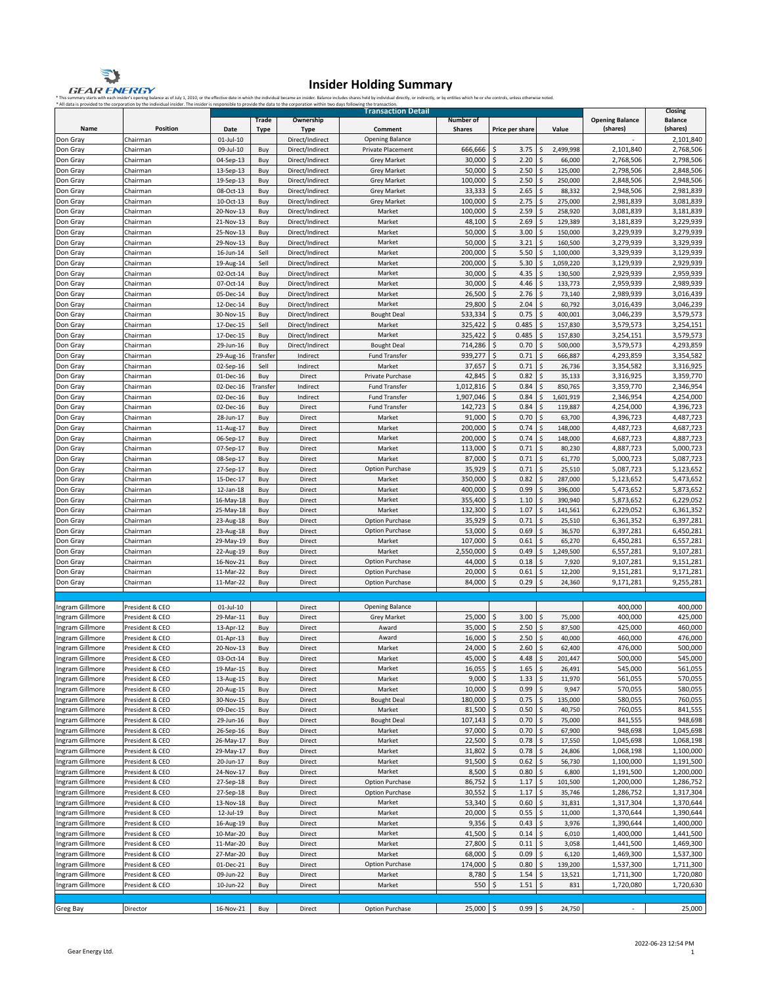\* All data is provided to the corporation by the individual insider. The insider is responsible to provide the data to the corporation within two days following the transaction. \* This summary starts with each insider's opening balance as of July 1, 2010, or the effective date in which the individual became an insider. Balance includes shares held by individual directly, or indirectly, or by entit

|                 |                 |                    |              |                 | <b>Transaction Detail</b> |                   |                       |                          |                          | <b>Closing</b> |
|-----------------|-----------------|--------------------|--------------|-----------------|---------------------------|-------------------|-----------------------|--------------------------|--------------------------|----------------|
|                 |                 |                    | <b>Trade</b> | Ownership       |                           | <b>Number of</b>  |                       |                          | <b>Opening Balance</b>   | <b>Balance</b> |
| <b>Name</b>     | <b>Position</b> | <b>Date</b>        | <b>Type</b>  | <b>Type</b>     | <b>Comment</b>            | <b>Shares</b>     | Price per share       | Value                    | (shares)                 | (shares)       |
| Don Gray        | Chairman        | $01$ -Jul-10       |              | Direct/Indirect | <b>Opening Balance</b>    |                   |                       |                          | $\overline{\phantom{0}}$ | 2,101,840      |
| Don Gray        | Chairman        | 09-Jul-10          | Buy          | Direct/Indirect | <b>Private Placement</b>  | 666,666           | -\$<br>3.75           | 2,499,998<br>Ś           | 2,101,840                | 2,768,506      |
| Don Gray        | Chairman        | 04-Sep-13          | Buy          | Direct/Indirect | <b>Grey Market</b>        | 30,000            | \$<br>2.20            | S,<br>66,000             | 2,768,506                | 2,798,506      |
|                 | Chairman        | 13-Sep-13          |              | Direct/Indirect |                           | 50,000            | $\zeta$<br>2.50       | 125,000<br>-S            | 2,798,506                | 2,848,506      |
| Don Gray        |                 |                    | Buy          |                 | <b>Grey Market</b>        |                   |                       |                          |                          |                |
| Don Gray        | Chairman        | 19-Sep-13          | Buy          | Direct/Indirect | <b>Grey Market</b>        | 100,000           | \$<br>2.50            | 250,000                  | 2,848,506                | 2,948,506      |
| Don Gray        | Chairman        | 08-Oct-13          | Buy          | Direct/Indirect | <b>Grey Market</b>        | 33,333            | -\$<br>2.65           | S.<br>88,332             | 2,948,506                | 2,981,839      |
| Don Gray        | Chairman        | 10-Oct-13          | Buy          | Direct/Indirect | <b>Grey Market</b>        | 100,000           | S.<br>2.75            | 275,000                  | 2,981,839                | 3,081,839      |
| Don Gray        | Chairman        | 20-Nov-13          | Buy          | Direct/Indirect | Market                    | 100,000           | $\zeta$<br>2.59       | 258,920<br>-S            | 3,081,839                | 3,181,839      |
| Don Gray        | Chairman        | 21-Nov-13          | Buy          | Direct/Indirect | Market                    | $48,100$   \$     | 2.69                  | 129,389<br>\$            | 3,181,839                | 3,229,939      |
|                 |                 |                    |              |                 |                           |                   |                       |                          |                          |                |
| Don Gray        | Chairman        | 25-Nov-13          | Buy          | Direct/Indirect | Market                    | 50,000            | $\mathsf{S}$<br>3.00  | 150,000                  | 3,229,939                | 3,279,939      |
| Don Gray        | Chairman        | 29-Nov-13          | Buy          | Direct/Indirect | Market                    | 50,000            | \$<br>3.21            | 160,500                  | 3,279,939                | 3,329,939      |
| Don Gray        | Chairman        | 16-Jun-14          | Sell         | Direct/Indirect | Market                    | 200,000           | $\zeta$<br>5.50       | 1,100,000                | 3,329,939                | 3,129,939      |
| Don Gray        | Chairman        | 19-Aug-14          | Sell         | Direct/Indirect | Market                    | 200,000           | \$<br>5.30            | 1,059,220                | 3,129,939                | 2,929,939      |
| Don Gray        | Chairman        | 02-Oct-14          | Buy          | Direct/Indirect | Market                    | 30,000            | \$<br>4.35            | S,<br>130,500            | 2,929,939                | 2,959,939      |
|                 |                 |                    |              |                 |                           |                   | -\$                   |                          |                          |                |
| Don Gray        | Chairman        | 07-Oct-14          | Buy          | Direct/Indirect | Market                    | 30,000            | 4.46                  | 133,773<br>-\$           | 2,959,939                | 2,989,939      |
| Don Gray        | Chairman        | 05-Dec-14          | Buy          | Direct/Indirect | Market                    | 26,500            | $\zeta$<br>2.76       | 73,140<br>\$             | 2,989,939                | 3,016,439      |
| Don Gray        | Chairman        | 12-Dec-14          | Buy          | Direct/Indirect | Market                    | $29,800$   \$     | 2.04                  | 60,792<br>\$             | 3,016,439                | 3,046,239      |
| Don Gray        | Chairman        | 30-Nov-15          | Buy          | Direct/Indirect | <b>Bought Deal</b>        | 533,334           | \$<br>0.75            | S.<br>400,001            | 3,046,239                | 3,579,573      |
| Don Gray        | Chairman        | 17-Dec-15          | Sell         | Direct/Indirect | Market                    | 325,422           | \$<br>0.485           | 157,830                  | 3,579,573                | 3,254,151      |
| Don Gray        | Chairman        | 17-Dec-15          | Buy          | Direct/Indirect | Market                    | 325,422           | -\$<br>0.485          | 157,830<br>-\$           | 3,254,151                | 3,579,573      |
|                 |                 |                    |              |                 |                           |                   |                       |                          |                          |                |
| Don Gray        | Chairman        | 29-Jun-16          | Buy          | Direct/Indirect | <b>Bought Deal</b>        | 714,286           | \$<br>0.70            | 500,000<br>-S            | 3,579,573                | 4,293,859      |
| Don Gray        | Chairman        | 29-Aug-16          | Transfer     | Indirect        | <b>Fund Transfer</b>      | $939,277$ \$      | 0.71                  | \$<br>666,887            | 4,293,859                | 3,354,582      |
| Don Gray        | Chairman        | 02-Sep-16          | Sell         | Indirect        | Market                    | 37,657            | \$<br>0.71            | 26,736                   | 3,354,582                | 3,316,925      |
| Don Gray        | Chairman        | 01-Dec-16          | Buy          | Direct          | Private Purchase          | 42,845            | \$<br>0.82            | 35,133<br>-S             | 3,316,925                | 3,359,770      |
| Don Gray        | Chairman        | 02-Dec-16 Transfer |              | Indirect        | <b>Fund Transfer</b>      | $1,012,816$ \$    | 0.84                  | $\zeta$<br>850,765       | 3,359,770                | 2,346,954      |
|                 |                 |                    |              |                 |                           |                   |                       |                          |                          |                |
| Don Gray        | Chairman        | 02-Dec-16          | Buy          | Indirect        | <b>Fund Transfer</b>      | $1,907,046$   \$  | 0.84                  | 1,601,919                | 2,346,954                | 4,254,000      |
| Don Gray        | Chairman        | 02-Dec-16          | Buy          | Direct          | <b>Fund Transfer</b>      | $142,723$   \$    | 0.84                  | 119,887                  | 4,254,000                | 4,396,723      |
| Don Gray        | Chairman        | 28-Jun-17          | Buy          | Direct          | Market                    | $91,000$   \$     | 0.70                  | 63,700<br>∣\$            | 4,396,723                | 4,487,723      |
| Don Gray        | Chairman        | 11-Aug-17          | Buy          | Direct          | Market                    | 200,000           | $\zeta$<br>0.74       | -S<br>148,000            | 4,487,723                | 4,687,723      |
| Don Gray        | Chairman        | 06-Sep-17          | Buy          | Direct          | Market                    | $200,000$   \$    | 0.74                  | 148,000                  | 4,687,723                | 4,887,723      |
|                 |                 |                    |              |                 | Market                    |                   | -\$<br>0.71           | -\$                      |                          |                |
| Don Gray        | Chairman        | 07-Sep-17          | Buy          | Direct          |                           | 113,000           |                       | 80,230                   | 4,887,723                | 5,000,723      |
| Don Gray        | Chairman        | 08-Sep-17          | Buy          | Direct          | Market                    | $87,000$   \$     | 0.71                  | 61,770                   | 5,000,723                | 5,087,723      |
| Don Gray        | Chairman        | 27-Sep-17          | Buy          | Direct          | <b>Option Purchase</b>    | 35,929            | $\mathsf{S}$<br>0.71  | -S<br>25,510             | 5,087,723                | 5,123,652      |
| Don Gray        | Chairman        | 15-Dec-17          | Buy          | Direct          | Market                    | $350,000$   \$    | 0.82                  | 287,000                  | 5,123,652                | 5,473,652      |
| Don Gray        | Chairman        | 12-Jan-18          | Buy          | Direct          | Market                    | $400,000$   \$    | 0.99                  | 396,000                  | 5,473,652                | 5,873,652      |
| Don Gray        | Chairman        | 16-May-18          |              | Direct          | Market                    | $355,400$   \$    | 1.10                  | 390,940                  | 5,873,652                | 6,229,052      |
|                 |                 |                    | Buy          |                 |                           |                   |                       |                          |                          |                |
| Don Gray        | Chairman        | 25-May-18          | Buy          | <b>Direct</b>   | Market                    | $132,300$   \$    | 1.07                  | 141,561                  | 6,229,052                | 6,361,352      |
| Don Gray        | Chairman        | 23-Aug-18          | Buy          | Direct          | <b>Option Purchase</b>    | $35,929$   \$     | 0.71                  | 25,510                   | 6,361,352                | 6,397,281      |
| Don Gray        | Chairman        | 23-Aug-18          | Buy          | Direct          | <b>Option Purchase</b>    | $53,000$   \$     | 0.69                  | \$<br>36,570             | 6,397,281                | 6,450,281      |
| Don Gray        | Chairman        | 29-May-19          | Buy          | Direct          | Market                    | $107,000$   \$    | 0.61                  | 65,270                   | 6,450,281                | 6,557,281      |
| Don Gray        | Chairman        | 22-Aug-19          | Buy          | <b>Direct</b>   | Market                    | 2,550,000         | $\zeta$<br>0.49       | 1,249,500<br>-S          | 6,557,281                | 9,107,281      |
|                 |                 |                    |              |                 |                           |                   |                       |                          |                          |                |
| Don Gray        | Chairman        | 16-Nov-21          | Buy          | Direct          | <b>Option Purchase</b>    | 44,000 $\mid$ \$  | 0.18                  | 7,920<br>-S              | 9,107,281                | 9,151,281      |
| Don Gray        | Chairman        | 11-Mar-22          | Buy          | <b>Direct</b>   | <b>Option Purchase</b>    | $20,000$   \$     | 0.61                  | 12,200                   | 9,151,281                | 9,171,281      |
| Don Gray        | Chairman        | 11-Mar-22          | Buy          | Direct          | <b>Option Purchase</b>    | 84,000            | \$<br>0.29            | -S<br>24,360             | 9,171,281                | 9,255,281      |
|                 |                 |                    |              |                 |                           |                   |                       |                          |                          |                |
|                 |                 |                    |              |                 |                           |                   |                       |                          |                          |                |
| Ingram Gillmore | President & CEO | $01$ -Jul-10       |              | Direct          | <b>Opening Balance</b>    |                   |                       |                          | 400,000                  | 400,000        |
| Ingram Gillmore | President & CEO | 29-Mar-11          | Buy          | Direct          | <b>Grey Market</b>        | $25,000$   \$     | 3.00                  | -\$<br>75,000            | 400,000                  | 425,000        |
| Ingram Gillmore | President & CEO | 13-Apr-12          | Buy          | Direct          | Award                     | $35,000$   \$     | 2.50                  | -\$<br>87,500            | 425,000                  | 460,000        |
| Ingram Gillmore | President & CEO | 01-Apr-13          | Buy          | Direct          | Award                     | $16,000$   \$     | 2.50                  | 40,000<br>-\$            | 460,000                  | 476,000        |
| Ingram Gillmore | President & CEO | 20-Nov-13          | Buy          | Direct          | Market                    | 24,000            | \$<br>2.60            | 62,400                   | 476,000                  | 500,000        |
|                 |                 |                    |              |                 |                           |                   |                       |                          |                          |                |
| Ingram Gillmore | President & CEO | 03-Oct-14          | Buy          | Direct          | Market                    | $45,000$   \$     | 4.48                  | 201,447                  | 500,000                  | 545,000        |
| Ingram Gillmore | President & CEO | 19-Mar-15          | Buy          | Direct          | Market                    | $16,055$   \$     | $1.65$   \$           | 26,491                   | 545,000                  | 561,055        |
| Ingram Gillmore | President & CEO | 13-Aug-15          | Buy          | Direct          | Market                    | $9,000$   \$      | 1.33                  | 5<br>11,970              | 561,055                  | 570,055        |
| Ingram Gillmore | President & CEO | 20-Aug-15          | Buy          | Direct          | Market                    | $10,000$   \$     | 0.99                  | 9,947<br>\$              | 570,055                  | 580,055        |
| Ingram Gillmore | President & CEO | 30-Nov-15          | Buy          | Direct          | <b>Bought Deal</b>        | $180,000$   \$    | 0.75                  | 135,000<br>\$            | 580,055                  | 760,055        |
| Ingram Gillmore | President & CEO | 09-Dec-15          | Buy          | Direct          | Market                    | $81,500$   \$     | 0.50                  | \$<br>40,750             | 760,055                  | 841,555        |
|                 |                 |                    |              |                 |                           |                   |                       |                          |                          |                |
| Ingram Gillmore | President & CEO | 29-Jun-16          | Buy          | Direct          | <b>Bought Deal</b>        | $107,143$   \$    | 0.70                  | \$<br>75,000             | 841,555                  | 948,698        |
| Ingram Gillmore | President & CEO | 26-Sep-16          | Buy          | Direct          | Market                    | $97,000$ \$       | 0.70                  | 5<br>67,900              | 948,698                  | 1,045,698      |
| Ingram Gillmore | President & CEO | 26-May-17          | Buy          | Direct          | Market                    | 22,500            | $\zeta$<br>0.78       | $\zeta$<br>17,550        | 1,045,698                | 1,068,198      |
| Ingram Gillmore | President & CEO | 29-May-17          | Buy          | Direct          | Market                    | $31,802$   \$     | 0.78                  | $\ddot{\circ}$<br>24,806 | 1,068,198                | 1,100,000      |
| Ingram Gillmore | President & CEO | 20-Jun-17          | Buy          | Direct          | Market                    | $91,500$   \$     | 0.62                  | \$<br>56,730             | 1,100,000                | 1,191,500      |
| Ingram Gillmore | President & CEO | 24-Nov-17          |              | Direct          | Market                    | $8,500$   \$      | 0.80                  | $\ddot{\circ}$<br>6,800  | 1,191,500                | 1,200,000      |
|                 |                 |                    | Buy          |                 |                           |                   |                       |                          |                          |                |
| Ingram Gillmore | President & CEO | 27-Sep-18          | Buy          | Direct          | <b>Option Purchase</b>    | 86,752            | $\zeta$<br>1.17       | \$<br>101,500            | 1,200,000                | 1,286,752      |
| Ingram Gillmore | President & CEO | 27-Sep-18          | Buy          | Direct          | <b>Option Purchase</b>    | $30,552$   \$     | 1.17                  | $\zeta$<br>35,746        | 1,286,752                | 1,317,304      |
| Ingram Gillmore | President & CEO | 13-Nov-18          | Buy          | Direct          | Market                    | $53,340$   \$     | 0.60                  | $\zeta$<br>31,831        | 1,317,304                | 1,370,644      |
| Ingram Gillmore | President & CEO | 12-Jul-19          | Buy          | <b>Direct</b>   | Market                    | $20,000$   \$     | 0.55                  | 5<br>11,000              | 1,370,644                | 1,390,644      |
| Ingram Gillmore | President & CEO | 16-Aug-19          | Buy          | Direct          | Market                    | $9,356$   \$      | 0.43                  | $\zeta$<br>3,976         | 1,390,644                | 1,400,000      |
|                 |                 |                    |              |                 |                           |                   |                       |                          |                          |                |
| Ingram Gillmore | President & CEO | 10-Mar-20          | Buy          | Direct          | Market                    | 41,500 $\vert$ \$ | $0.14$ \$             | 6,010                    | 1,400,000                | 1,441,500      |
| Ingram Gillmore | President & CEO | 11-Mar-20          | Buy          | Direct          | Market                    | $27,800$   \$     | 0.11                  | $\zeta$<br>3,058         | 1,441,500                | 1,469,300      |
| Ingram Gillmore | President & CEO | 27-Mar-20          | Buy          | Direct          | Market                    | $68,000$   \$     | 0.09                  | \$<br>6,120              | 1,469,300                | 1,537,300      |
| Ingram Gillmore | President & CEO | 01-Dec-21          | Buy          | Direct          | <b>Option Purchase</b>    | $174,000$   \$    | 0.80                  | 139,200<br>\$            | 1,537,300                | 1,711,300      |
| Ingram Gillmore | President & CEO | 09-Jun-22          | Buy          | Direct          | Market                    | $8,780$   \$      | 1.54                  | \$<br>13,521             | 1,711,300                | 1,720,080      |
|                 |                 |                    |              |                 |                           |                   |                       |                          |                          |                |
| Ingram Gillmore | President & CEO | 10-Jun-22          | Buy          | Direct          | Market                    | 550               | \$<br>$1.51 \mid \xi$ | 831                      | 1,720,080                | 1,720,630      |
|                 |                 |                    |              |                 |                           |                   |                       |                          |                          |                |
| Greg Bay        | Director        | 16-Nov-21          | Buy          | Direct          | <b>Option Purchase</b>    | $25,000$   \$     | $0.99$ \$             | 24,750                   |                          | 25,000         |



## **Insider Holding Summary**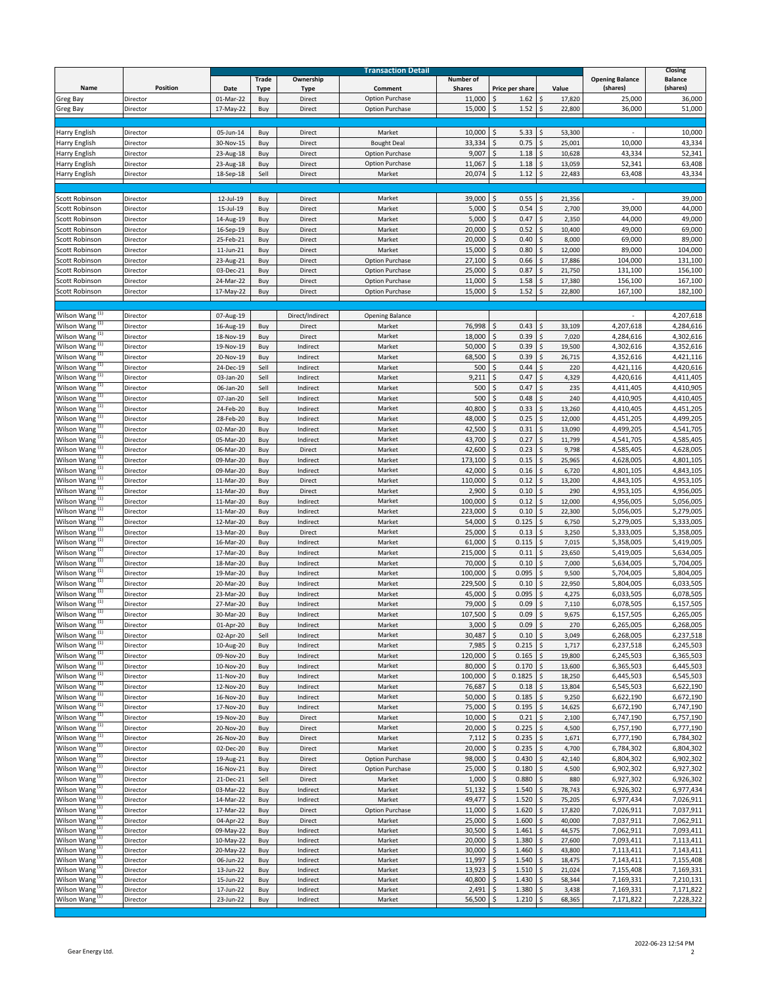|                                 |                 | <b>Transaction Detail</b> |              |                 |                        |                  |                                  |                                    | <b>Closing</b>           |                        |
|---------------------------------|-----------------|---------------------------|--------------|-----------------|------------------------|------------------|----------------------------------|------------------------------------|--------------------------|------------------------|
|                                 |                 |                           | <b>Trade</b> | Ownership       |                        | <b>Number of</b> |                                  |                                    | <b>Opening Balance</b>   | <b>Balance</b>         |
| <b>Name</b>                     | <b>Position</b> | <b>Date</b>               | <b>Type</b>  | <b>Type</b>     | Comment                | <b>Shares</b>    | Price per share                  | Value                              | (shares)                 | (shares)               |
| Greg Bay                        | Director        | 01-Mar-22                 | Buy          | <b>Direct</b>   | <b>Option Purchase</b> | 11,000           | Ś.<br>1.62                       | 17,820                             | 25,000                   | 36,000                 |
| Greg Bay                        | Director        | 17-May-22                 | Buy          | Direct          | <b>Option Purchase</b> | 15,000           | \$<br>1.52                       | 22,800                             | 36,000                   | 51,000                 |
|                                 |                 |                           |              |                 |                        |                  |                                  |                                    |                          |                        |
| <b>Harry English</b>            | Director        | 05-Jun-14                 | Buy          | <b>Direct</b>   | Market                 | 10,000           | \$<br>5.33                       | 53,300<br>$\zeta$                  | $\overline{\phantom{a}}$ | 10,000                 |
| Harry English                   | Director        | 30-Nov-15                 | Buy          | <b>Direct</b>   | <b>Bought Deal</b>     | 33,334           | $\zeta$<br>0.75                  | 25,001                             | 10,000                   | 43,334                 |
| <b>Harry English</b>            | Director        | 23-Aug-18                 | Buy          | Direct          | <b>Option Purchase</b> | 9,007            | \$<br>1.18                       | 10,628                             | 43,334                   | 52,341                 |
| <b>Harry English</b>            | Director        | 23-Aug-18                 | Buy          | Direct          | <b>Option Purchase</b> | 11,067           | \$<br>1.18                       | 13,059<br>\$                       | 52,341                   | 63,408                 |
| <b>Harry English</b>            | Director        | 18-Sep-18                 | Sell         | Direct          | Market                 | 20,074           | \$<br>1.12                       | 22,483                             | 63,408                   | 43,334                 |
|                                 |                 |                           |              |                 |                        |                  |                                  |                                    |                          |                        |
| <b>Scott Robinson</b>           |                 |                           |              |                 | Market                 |                  | \$<br>0.55                       |                                    |                          |                        |
| Scott Robinson                  | Director        | 12-Jul-19<br>15-Jul-19    | Buy          | <b>Direct</b>   |                        | 39,000<br>5,000  | $\zeta$<br>0.54                  | 21,356<br>$\zeta$                  | 39,000                   | 39,000<br>44,000       |
|                                 | Director        |                           | Buy          | Direct          | Market                 |                  |                                  | 2,700                              |                          |                        |
| Scott Robinson                  | Director        | 14-Aug-19                 | Buy          | Direct          | Market                 | 5,000            | \$<br>0.47                       | 2,350                              | 44,000                   | 49,000                 |
| Scott Robinson                  | Director        | 16-Sep-19                 | Buy          | <b>Direct</b>   | Market                 | 20,000           | \$<br>0.52                       | 10,400                             | 49,000                   | 69,000                 |
| Scott Robinson                  | Director        | 25-Feb-21                 | Buy          | <b>Direct</b>   | Market                 | 20,000           | \$<br>0.40                       | 8,000                              | 69,000                   | 89,000                 |
| Scott Robinson                  | Director        | 11-Jun-21                 | Buy          | Direct          | Market                 | 15,000           | $\zeta$<br>0.80                  | 12,000                             | 89,000                   | 104,000                |
| Scott Robinson                  | Director        | 23-Aug-21                 | Buy          | Direct          | <b>Option Purchase</b> | 27,100           | \$<br>0.66                       | 17,886                             | 104,000                  | 131,100                |
| Scott Robinson                  | Director        | 03-Dec-21                 | Buy          | Direct          | <b>Option Purchase</b> | 25,000           | \$<br>0.87                       | 21,750                             | 131,100                  | 156,100                |
| Scott Robinson                  | Director        | 24-Mar-22                 | Buy          | Direct          | <b>Option Purchase</b> | 11,000           | Ś<br>1.58                        | 17,380                             | 156,100                  | 167,100                |
| Scott Robinson                  | Director        | 17-May-22                 | Buy          | Direct          | <b>Option Purchase</b> | 15,000           | 1.52                             | 22,800                             | 167,100                  | 182,100                |
|                                 |                 |                           |              |                 |                        |                  |                                  |                                    |                          |                        |
| Wilson Wang <sup>(1)</sup>      | Director        | 07-Aug-19                 |              | Direct/Indirect | <b>Opening Balance</b> |                  |                                  |                                    | $\overline{\phantom{a}}$ | 4,207,618              |
| Wilson Wang <sup>(1)</sup>      | Director        | 16-Aug-19                 | Buy          | Direct          | Market                 | 76,998           | $\mathsf{S}$<br>0.43             | \$<br>33,109                       | 4,207,618                | 4,284,616              |
| Wilson Wang <sup>(1)</sup>      | Director        | 18-Nov-19                 | Buy          | Direct          | Market                 | 18,000           | 0.39<br>\$                       | 7,020                              | 4,284,616                | 4,302,616              |
| Wilson Wang <sup>(1)</sup>      | Director        | 19-Nov-19                 | Buy          | Indirect        | Market                 | $50,000$   \$    | $0.39$   \$                      | 19,500                             | 4,302,616                | 4,352,616              |
| Wilson Wang $\overline{^{(1)}}$ | Director        | 20-Nov-19                 | Buy          | Indirect        | Market                 | 68,500           | $\zeta$<br>0.39                  | 26,715                             | 4,352,616                | 4,421,116              |
| Wilson Wang <sup>(1)</sup>      | Director        | 24-Dec-19                 | Sell         | Indirect        | Market                 | 500              | $\zeta$<br>$0.44$   \$           | 220                                | 4,421,116                | 4,420,616              |
| Wilson Wang $\overline{^{(1)}}$ | Director        | 03-Jan-20                 | Sell         | Indirect        | Market                 | 9,211            | \$<br>0.47                       | 4,329                              | 4,420,616                | 4,411,405              |
| Wilson Wang <sup>(1)</sup>      | Director        | 06-Jan-20                 | Sell         | Indirect        | Market                 | 500              | \$<br>0.47                       | l \$<br>235                        | 4,411,405                | 4,410,905              |
| Wilson Wang <sup>(1)</sup>      | Director        | 07-Jan-20                 | Sell         | Indirect        | Market                 | 500              | $\sqrt{5}$<br>0.48               | l \$<br>240                        | 4,410,905                | 4,410,405              |
| Wilson Wang <sup>(1)</sup>      | Director        | 24-Feb-20                 | Buy          | Indirect        | Market                 | 40,800           | $\ddot{\zeta}$<br>0.33           | 13,260                             | 4,410,405                | 4,451,205              |
| Wilson Wang $\overline{^{(1)}}$ | Director        | 28-Feb-20                 | Buy          | Indirect        | Market                 | 48,000           | \$<br>0.25                       | 12,000                             | 4,451,205                | 4,499,205              |
| Wilson Wang <sup>(1)</sup>      | Director        | 02-Mar-20                 | Buy          | Indirect        | Market                 | $42,500$   \$    | 0.31                             | 13,090                             | 4,499,205                | 4,541,705              |
| Wilson Wang <sup>(1)</sup>      | Director        | 05-Mar-20                 | Buy          | Indirect        | Market                 | 43,700           | $\zeta$<br>0.27                  | 11,799                             | 4,541,705                | 4,585,405              |
| Wilson Wang <sup>(1)</sup>      | Director        | 06-Mar-20                 | Buy          | Direct          | Market                 | 42,600           | $\zeta$<br>0.23                  | \$<br>9,798                        | 4,585,405                | 4,628,005              |
| Wilson Wang <sup>(1)</sup>      | Director        | 09-Mar-20                 | Buy          | Indirect        | Market                 | 173,100          | $\sqrt{5}$<br>0.15               | 25,965                             | 4,628,005                | 4,801,105              |
| Wilson Wang <sup>(1)</sup>      | Director        | 09-Mar-20                 |              | Indirect        | Market                 | 42,000           | \$<br>0.16                       | 6,720                              | 4,801,105                | 4,843,105              |
| Wilson Wang <sup>(1)</sup>      | Director        | 11-Mar-20                 | Buy<br>Buy   | Direct          | Market                 | 110,000          | $\zeta$<br>0.12                  | 13,200                             | 4,843,105                | 4,953,105              |
| Wilson Wang <sup>(1)</sup>      | Director        | 11-Mar-20                 |              | Direct          | Market                 | 2,900            | $\zeta$<br>0.10                  | 290                                | 4,953,105                |                        |
| Wilson Wang <sup>(1)</sup>      | Director        | 11-Mar-20                 | Buy          | Indirect        | Market                 | 100,000          | $\zeta$<br>0.12                  | 12,000                             | 4,956,005                | 4,956,005<br>5,056,005 |
| Wilson Wang <sup>(1)</sup>      |                 |                           | Buy          |                 |                        | $223,000$ \$     | 0.10                             |                                    |                          |                        |
|                                 | Director        | 11-Mar-20                 | Buy          | Indirect        | Market                 |                  |                                  | 22,300                             | 5,056,005                | 5,279,005              |
| Wilson Wang <sup>(1)</sup>      | Director        | 12-Mar-20                 | Buy          | Indirect        | Market                 | $54,000$   \$    | 0.125                            | 6,750                              | 5,279,005                | 5,333,005              |
| Wilson Wang <sup>(1)</sup>      | Director        | 13-Mar-20                 | Buy          | Direct          | Market                 | $25,000$   \$    | 0.13                             | 3,250                              | 5,333,005                | 5,358,005              |
| Wilson Wang <sup>(1)</sup>      | Director        | 16-Mar-20                 | Buy          | Indirect        | Market                 | $61,000$   \$    | $0.115$   \$                     | 7,015                              | 5,358,005                | 5,419,005              |
| Wilson Wang <sup>(1)</sup>      | Director        | 17-Mar-20                 | Buy          | Indirect        | Market                 | 215,000          | \$<br>0.11                       | 23,650                             | 5,419,005                | 5,634,005              |
| Wilson Wang <sup>(1)</sup>      | Director        | 18-Mar-20                 | Buy          | Indirect        | Market                 | 70,000 \$        | 0.10                             | 7,000                              | 5,634,005                | 5,704,005              |
| Wilson Wang $\overline{^{(1)}}$ | Director        | 19-Mar-20                 | Buy          | Indirect        | Market                 | 100,000          | $\zeta$<br>0.095                 | 9,500                              | 5,704,005                | 5,804,005              |
| Wilson Wang <sup>(1)</sup>      | Director        | 20-Mar-20                 | Buy          | Indirect        | Market                 | 229,500          | $\overline{\phantom{0}}$<br>0.10 | $\zeta$<br>22,950                  | 5,804,005                | 6,033,505              |
| Wilson Wang <sup>(1)</sup>      | Director        | 23-Mar-20                 | Buy          | Indirect        | Market                 | 45,000           | $\varsigma$<br>0.095             | 4,275                              | 6,033,505                | 6,078,505              |
| Wilson Wang <sup>(1)</sup>      | Director        | 27-Mar-20                 | Buy          | Indirect        | Market                 | 79,000 \$        | 0.09                             | 7,110                              | 6,078,505                | 6,157,505              |
| Wilson Wang <sup>(1)</sup>      | Director        | 30-Mar-20                 | Buy          | Indirect        | Market                 | 107,500          | \$<br>0.09                       | 9,675                              | 6,157,505                | 6,265,005              |
| Wilson Wang <sup>(1)</sup>      | Director        | 01-Apr-20                 | Buy          | Indirect        | Market                 | $3,000$ \$       | $0.09$   \$                      | 270                                | 6,265,005                | 6,268,005              |
| Wilson Wang <sup>(1)</sup>      | Director        | 02-Apr-20                 | Sell         | Indirect        | Market                 | 30,487           | $\sqrt{5}$<br>0.10               | 3,049                              | 6,268,005                | 6,237,518              |
| Wilson Wang <sup>(1)</sup>      | Director        | 10-Aug-20                 | Buy          | Indirect        | Market                 | $7,985$   \$     | $0.215$   \$                     | 1,717                              | 6,237,518                | 6,245,503              |
| Wilson Wang <sup>(1)</sup>      | Director        | 09-Nov-20                 | Buy          | Indirect        | Market                 | 120,000          | $\zeta$<br>0.165                 | $\vert \mathsf{S} \vert$<br>19,800 | 6,245,503                | 6,365,503              |
| Wilson Wang <sup>(1)</sup>      | Director        | 10-Nov-20                 | Buy          | Indirect        | Market                 | 80,000   \$      | $0.170$   \$                     | 13,600                             | 6,365,503                | 6,445,503              |
| Wilson Wang <sup>(1)</sup>      | Director        | 11-Nov-20                 | Buy          | Indirect        | Market                 | 100,000          | \$<br>0.1825                     | 18,250                             | 6,445,503                | 6,545,503              |
| Wilson Wang <sup>(1)</sup>      | Director        | 12-Nov-20                 | Buy          | Indirect        | Market                 | 76,687   \$      | 0.18                             | 13,804                             | 6,545,503                | 6,622,190              |
| Wilson Wang <sup>(1)</sup>      | Director        | 16-Nov-20                 | Buy          | Indirect        | Market                 | 50,000           | $\zeta$<br>0.185                 | 9,250                              | 6,622,190                | 6,672,190              |
| Wilson Wang <sup>(1)</sup>      | Director        | 17-Nov-20                 | Buy          | Indirect        | Market                 | 75,000           | $\zeta$<br>0.195                 | $\ddot{\bm{\zeta}}$<br>14,625      | 6,672,190                | 6,747,190              |
| Wilson Wang <sup>(1)</sup>      | Director        | 19-Nov-20                 | Buy          | Direct          | Market                 | 10,000           | $\zeta$<br>0.21                  | 2,100                              | 6,747,190                | 6,757,190              |
| Wilson Wang <sup>(1)</sup>      | Director        | 20-Nov-20                 | Buy          | Direct          | Market                 | 20,000           | \$<br>0.225                      | 4,500                              | 6,757,190                | 6,777,190              |
| Wilson Wang <sup>(1)</sup>      | Director        | 26-Nov-20                 | Buy          | Direct          | Market                 | 7,112            | $\vert$ \$<br>0.235              | 1,671                              | 6,777,190                | 6,784,302              |
| Wilson Wang <sup>(1)</sup>      | Director        | 02-Dec-20                 | Buy          | Direct          | Market                 | 20,000           | \$<br>0.235                      | $\zeta$<br>4,700                   | 6,784,302                | 6,804,302              |
| Wilson Wang <sup>(1)</sup>      | Director        | 19-Aug-21                 | Buy          | Direct          | <b>Option Purchase</b> | 98,000           | \$<br>$0.430$   \$               | 42,140                             | 6,804,302                | 6,902,302              |
| Wilson Wang <sup>(1)</sup>      | Director        | 16-Nov-21                 | Buy          | Direct          | <b>Option Purchase</b> | $25,000$   \$    | 0.180                            | 4,500                              | 6,902,302                | 6,927,302              |
| Wilson Wang <sup>(1)</sup>      | Director        | 21-Dec-21                 | Sell         | Direct          | Market                 | $1,000$   \$     | $0.880$   \$                     | 880                                | 6,927,302                | 6,926,302              |
| Wilson Wang <sup>(1)</sup>      | Director        | 03-Mar-22                 | Buy          | Indirect        | Market                 | $51,132$   \$    | 1.540                            | 78,743                             | 6,926,302                | 6,977,434              |
| Wilson Wang <sup>(1)</sup>      | Director        | 14-Mar-22                 | Buy          | Indirect        | Market                 | $49,477$   \$    | $1.520$   \$                     | 75,205                             | 6,977,434                | 7,026,911              |
| Wilson Wang <sup>(1)</sup>      | Director        | 17-Mar-22                 | Buy          | Direct          | <b>Option Purchase</b> | 11,000           | \$<br>1.620                      | 17,820                             | 7,026,911                | 7,037,911              |
| Wilson Wang <sup>(1)</sup>      | Director        | 04-Apr-22                 | Buy          | Direct          | Market                 | $25,000$   \$    | 1.600                            | 40,000<br>  \$                     | 7,037,911                | 7,062,911              |
| Wilson Wang <sup>(1)</sup>      | Director        | 09-May-22                 | Buy          | Indirect        | Market                 | $30,500$   \$    | 1.461                            | 44,575                             | 7,062,911                | 7,093,411              |
| Wilson Wang <sup>(1)</sup>      | Director        | 10-May-22                 | Buy          | Indirect        | Market                 | 20,000           | $\zeta$<br>1.380                 | 27,600                             | 7,093,411                | 7,113,411              |
| Wilson Wang <sup>(1)</sup>      | Director        | 20-May-22                 | Buy          | Indirect        | Market                 | $30,000$   \$    | 1.460                            | 43,800                             | 7,113,411                | 7,143,411              |
| Wilson Wang <sup>(1)</sup>      | Director        | 06-Jun-22                 | Buy          | Indirect        | Market                 | 11,997           | ۱\$<br>$1.540 \mid \frac{1}{2}$  | 18,475                             | 7,143,411                | 7,155,408              |
| Wilson Wang <sup>(1)</sup>      | Director        | 13-Jun-22                 | Buy          | Indirect        | Market                 | $13,923$   \$    | $1.510$   \$                     | 21,024                             | 7,155,408                | 7,169,331              |
| Wilson Wang <sup>(1)</sup>      | Director        | 15-Jun-22                 | Buy          | Indirect        | Market                 | 40,800           | \$<br>1.430                      | 58,344                             | 7,169,331                | 7,210,131              |
| Wilson Wang <sup>(1)</sup>      | Director        | 17-Jun-22                 | Buy          | Indirect        | Market                 | 2,491            | $1.380 \mid \frac{1}{2}$         | 3,438                              | 7,169,331                | 7,171,822              |
| Wilson Wang <sup>(1)</sup>      | Director        | 23-Jun-22                 | Buy          | Indirect        | Market                 | $56,500$   \$    | $1.210$   \$                     | 68,365                             | 7,171,822                | 7,228,322              |
|                                 |                 |                           |              |                 |                        |                  |                                  |                                    |                          |                        |